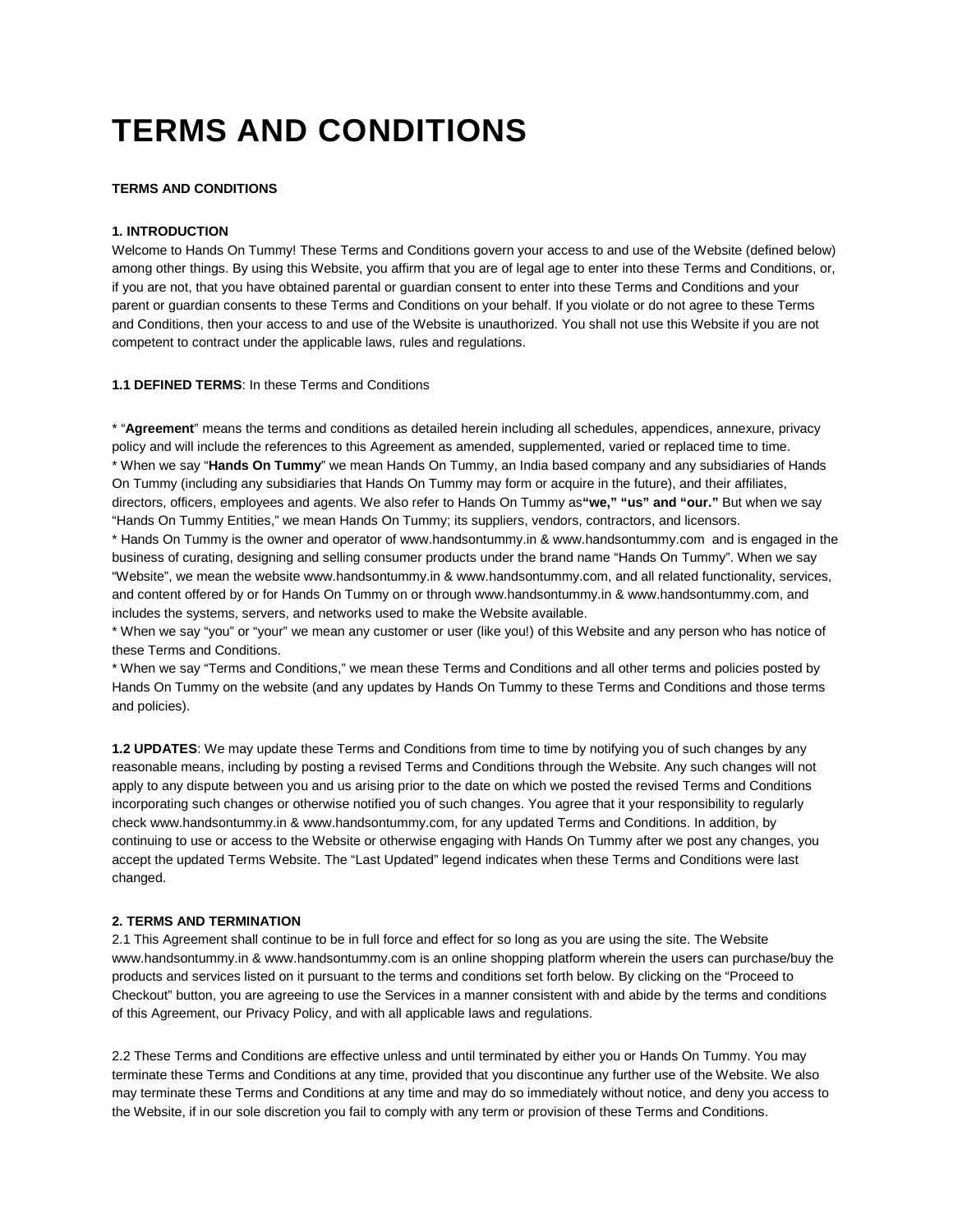# **TERMS AND CONDITIONS**

# **TERMS AND CONDITIONS**

# **1. INTRODUCTION**

Welcome to Hands On Tummy! These Terms and Conditions govern your access to and use of the Website (defined below) among other things. By using this Website, you affirm that you are of legal age to enter into these Terms and Conditions, or, if you are not, that you have obtained parental or guardian consent to enter into these Terms and Conditions and your parent or guardian consents to these Terms and Conditions on your behalf. If you violate or do not agree to these Terms and Conditions, then your access to and use of the Website is unauthorized. You shall not use this Website if you are not competent to contract under the applicable laws, rules and regulations.

**1.1 DEFINED TERMS**: In these Terms and Conditions

\* "**Agreement**" means the terms and conditions as detailed herein including all schedules, appendices, annexure, privacy policy and will include the references to this Agreement as amended, supplemented, varied or replaced time to time. \* When we say "**Hands On Tummy**" we mean Hands On Tummy, an India based company and any subsidiaries of Hands On Tummy (including any subsidiaries that Hands On Tummy may form or acquire in the future), and their affiliates, directors, officers, employees and agents. We also refer to Hands On Tummy as**"we," "us" and "our."** But when we say "Hands On Tummy Entities," we mean Hands On Tummy; its suppliers, vendors, contractors, and licensors.

\* Hands On Tummy is the owner and operator of www.handsontummy.in & www.handsontummy.com and is engaged in the business of curating, designing and selling consumer products under the brand name "Hands On Tummy". When we say "Website", we mean the website www.handsontummy.in & www.handsontummy.com, and all related functionality, services, and content offered by or for Hands On Tummy on or through www.handsontummy.in & www.handsontummy.com, and includes the systems, servers, and networks used to make the Website available.

\* When we say "you" or "your" we mean any customer or user (like you!) of this Website and any person who has notice of these Terms and Conditions.

\* When we say "Terms and Conditions," we mean these Terms and Conditions and all other terms and policies posted by Hands On Tummy on the website (and any updates by Hands On Tummy to these Terms and Conditions and those terms and policies).

**1.2 UPDATES**: We may update these Terms and Conditions from time to time by notifying you of such changes by any reasonable means, including by posting a revised Terms and Conditions through the Website. Any such changes will not apply to any dispute between you and us arising prior to the date on which we posted the revised Terms and Conditions incorporating such changes or otherwise notified you of such changes. You agree that it your responsibility to regularly check www.handsontummy.in & www.handsontummy.com, for any updated Terms and Conditions. In addition, by continuing to use or access to the Website or otherwise engaging with Hands On Tummy after we post any changes, you accept the updated Terms Website. The "Last Updated" legend indicates when these Terms and Conditions were last changed.

# **2. TERMS AND TERMINATION**

2.1 This Agreement shall continue to be in full force and effect for so long as you are using the site. The Website www.handsontummy.in & www.handsontummy.com is an online shopping platform wherein the users can purchase/buy the products and services listed on it pursuant to the terms and conditions set forth below. By clicking on the "Proceed to Checkout" button, you are agreeing to use the Services in a manner consistent with and abide by the terms and conditions of this Agreement, our Privacy Policy, and with all applicable laws and regulations.

2.2 These Terms and Conditions are effective unless and until terminated by either you or Hands On Tummy. You may terminate these Terms and Conditions at any time, provided that you discontinue any further use of the Website. We also may terminate these Terms and Conditions at any time and may do so immediately without notice, and deny you access to the Website, if in our sole discretion you fail to comply with any term or provision of these Terms and Conditions.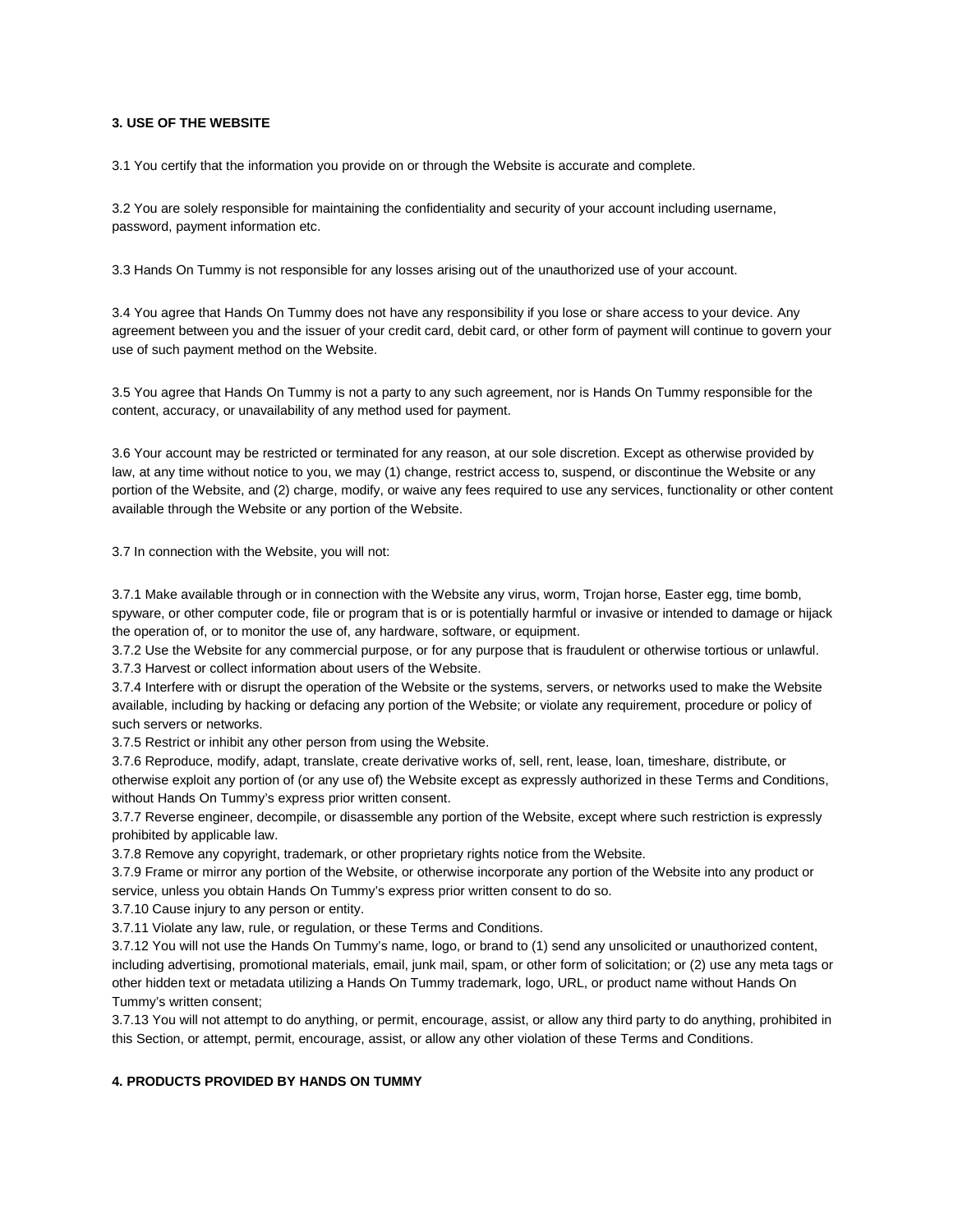# **3. USE OF THE WEBSITE**

3.1 You certify that the information you provide on or through the Website is accurate and complete.

3.2 You are solely responsible for maintaining the confidentiality and security of your account including username, password, payment information etc.

3.3 Hands On Tummy is not responsible for any losses arising out of the unauthorized use of your account.

3.4 You agree that Hands On Tummy does not have any responsibility if you lose or share access to your device. Any agreement between you and the issuer of your credit card, debit card, or other form of payment will continue to govern your use of such payment method on the Website.

3.5 You agree that Hands On Tummy is not a party to any such agreement, nor is Hands On Tummy responsible for the content, accuracy, or unavailability of any method used for payment.

3.6 Your account may be restricted or terminated for any reason, at our sole discretion. Except as otherwise provided by law, at any time without notice to you, we may (1) change, restrict access to, suspend, or discontinue the Website or any portion of the Website, and (2) charge, modify, or waive any fees required to use any services, functionality or other content available through the Website or any portion of the Website.

3.7 In connection with the Website, you will not:

3.7.1 Make available through or in connection with the Website any virus, worm, Trojan horse, Easter egg, time bomb, spyware, or other computer code, file or program that is or is potentially harmful or invasive or intended to damage or hijack the operation of, or to monitor the use of, any hardware, software, or equipment.

3.7.2 Use the Website for any commercial purpose, or for any purpose that is fraudulent or otherwise tortious or unlawful. 3.7.3 Harvest or collect information about users of the Website.

3.7.4 Interfere with or disrupt the operation of the Website or the systems, servers, or networks used to make the Website available, including by hacking or defacing any portion of the Website; or violate any requirement, procedure or policy of such servers or networks.

3.7.5 Restrict or inhibit any other person from using the Website.

3.7.6 Reproduce, modify, adapt, translate, create derivative works of, sell, rent, lease, loan, timeshare, distribute, or otherwise exploit any portion of (or any use of) the Website except as expressly authorized in these Terms and Conditions, without Hands On Tummy's express prior written consent.

3.7.7 Reverse engineer, decompile, or disassemble any portion of the Website, except where such restriction is expressly prohibited by applicable law.

3.7.8 Remove any copyright, trademark, or other proprietary rights notice from the Website.

3.7.9 Frame or mirror any portion of the Website, or otherwise incorporate any portion of the Website into any product or service, unless you obtain Hands On Tummy's express prior written consent to do so.

3.7.10 Cause injury to any person or entity.

3.7.11 Violate any law, rule, or regulation, or these Terms and Conditions.

3.7.12 You will not use the Hands On Tummy's name, logo, or brand to (1) send any unsolicited or unauthorized content, including advertising, promotional materials, email, junk mail, spam, or other form of solicitation; or (2) use any meta tags or other hidden text or metadata utilizing a Hands On Tummy trademark, logo, URL, or product name without Hands On Tummy's written consent;

3.7.13 You will not attempt to do anything, or permit, encourage, assist, or allow any third party to do anything, prohibited in this Section, or attempt, permit, encourage, assist, or allow any other violation of these Terms and Conditions.

# **4. PRODUCTS PROVIDED BY HANDS ON TUMMY**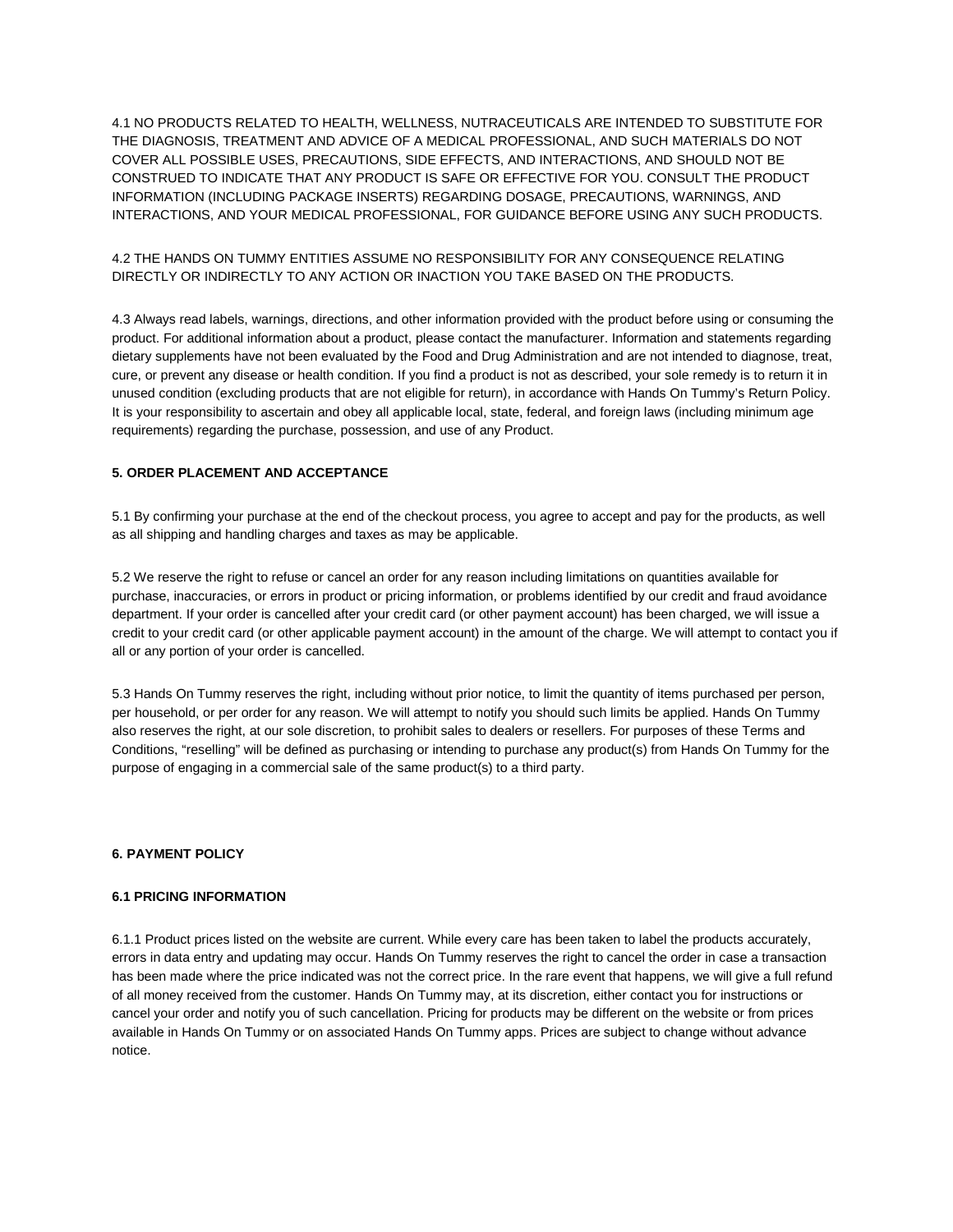4.1 NO PRODUCTS RELATED TO HEALTH, WELLNESS, NUTRACEUTICALS ARE INTENDED TO SUBSTITUTE FOR THE DIAGNOSIS, TREATMENT AND ADVICE OF A MEDICAL PROFESSIONAL, AND SUCH MATERIALS DO NOT COVER ALL POSSIBLE USES, PRECAUTIONS, SIDE EFFECTS, AND INTERACTIONS, AND SHOULD NOT BE CONSTRUED TO INDICATE THAT ANY PRODUCT IS SAFE OR EFFECTIVE FOR YOU. CONSULT THE PRODUCT INFORMATION (INCLUDING PACKAGE INSERTS) REGARDING DOSAGE, PRECAUTIONS, WARNINGS, AND INTERACTIONS, AND YOUR MEDICAL PROFESSIONAL, FOR GUIDANCE BEFORE USING ANY SUCH PRODUCTS.

# 4.2 THE HANDS ON TUMMY ENTITIES ASSUME NO RESPONSIBILITY FOR ANY CONSEQUENCE RELATING DIRECTLY OR INDIRECTLY TO ANY ACTION OR INACTION YOU TAKE BASED ON THE PRODUCTS.

4.3 Always read labels, warnings, directions, and other information provided with the product before using or consuming the product. For additional information about a product, please contact the manufacturer. Information and statements regarding dietary supplements have not been evaluated by the Food and Drug Administration and are not intended to diagnose, treat, cure, or prevent any disease or health condition. If you find a product is not as described, your sole remedy is to return it in unused condition (excluding products that are not eligible for return), in accordance with Hands On Tummy's Return Policy. It is your responsibility to ascertain and obey all applicable local, state, federal, and foreign laws (including minimum age requirements) regarding the purchase, possession, and use of any Product.

# **5. ORDER PLACEMENT AND ACCEPTANCE**

5.1 By confirming your purchase at the end of the checkout process, you agree to accept and pay for the products, as well as all shipping and handling charges and taxes as may be applicable.

5.2 We reserve the right to refuse or cancel an order for any reason including limitations on quantities available for purchase, inaccuracies, or errors in product or pricing information, or problems identified by our credit and fraud avoidance department. If your order is cancelled after your credit card (or other payment account) has been charged, we will issue a credit to your credit card (or other applicable payment account) in the amount of the charge. We will attempt to contact you if all or any portion of your order is cancelled.

5.3 Hands On Tummy reserves the right, including without prior notice, to limit the quantity of items purchased per person, per household, or per order for any reason. We will attempt to notify you should such limits be applied. Hands On Tummy also reserves the right, at our sole discretion, to prohibit sales to dealers or resellers. For purposes of these Terms and Conditions, "reselling" will be defined as purchasing or intending to purchase any product(s) from Hands On Tummy for the purpose of engaging in a commercial sale of the same product(s) to a third party.

# **6. PAYMENT POLICY**

## **6.1 PRICING INFORMATION**

6.1.1 Product prices listed on the website are current. While every care has been taken to label the products accurately, errors in data entry and updating may occur. Hands On Tummy reserves the right to cancel the order in case a transaction has been made where the price indicated was not the correct price. In the rare event that happens, we will give a full refund of all money received from the customer. Hands On Tummy may, at its discretion, either contact you for instructions or cancel your order and notify you of such cancellation. Pricing for products may be different on the website or from prices available in Hands On Tummy or on associated Hands On Tummy apps. Prices are subject to change without advance notice.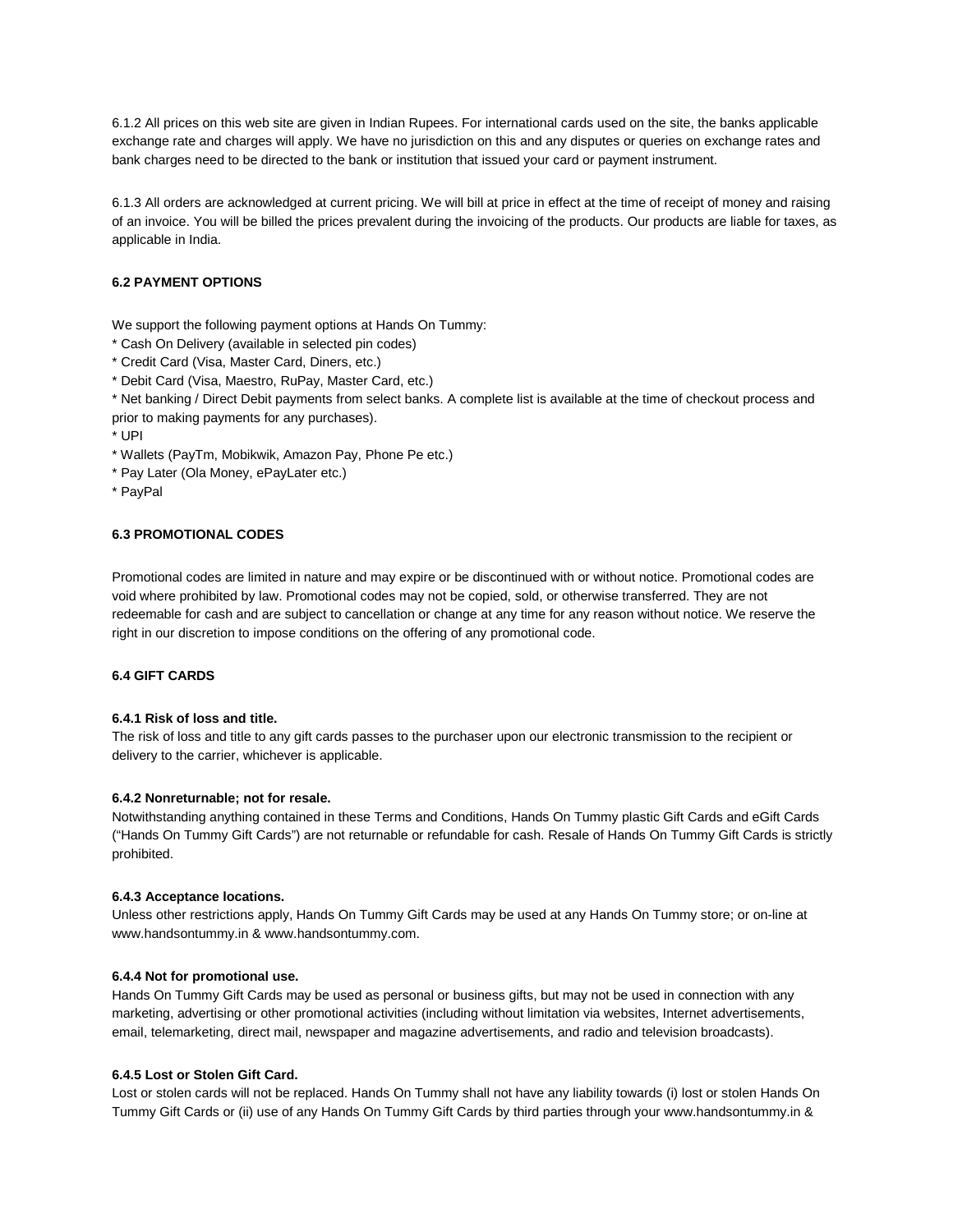6.1.2 All prices on this web site are given in Indian Rupees. For international cards used on the site, the banks applicable exchange rate and charges will apply. We have no jurisdiction on this and any disputes or queries on exchange rates and bank charges need to be directed to the bank or institution that issued your card or payment instrument.

6.1.3 All orders are acknowledged at current pricing. We will bill at price in effect at the time of receipt of money and raising of an invoice. You will be billed the prices prevalent during the invoicing of the products. Our products are liable for taxes, as applicable in India.

# **6.2 PAYMENT OPTIONS**

We support the following payment options at Hands On Tummy:

- \* Cash On Delivery (available in selected pin codes)
- \* Credit Card (Visa, Master Card, Diners, etc.)
- \* Debit Card (Visa, Maestro, RuPay, Master Card, etc.)

\* Net banking / Direct Debit payments from select banks. A complete list is available at the time of checkout process and prior to making payments for any purchases).

- \* UPI
- \* Wallets (PayTm, Mobikwik, Amazon Pay, Phone Pe etc.)
- \* Pay Later (Ola Money, ePayLater etc.)
- \* PayPal

## **6.3 PROMOTIONAL CODES**

Promotional codes are limited in nature and may expire or be discontinued with or without notice. Promotional codes are void where prohibited by law. Promotional codes may not be copied, sold, or otherwise transferred. They are not redeemable for cash and are subject to cancellation or change at any time for any reason without notice. We reserve the right in our discretion to impose conditions on the offering of any promotional code.

# **6.4 GIFT CARDS**

# **6.4.1 Risk of loss and title.**

The risk of loss and title to any gift cards passes to the purchaser upon our electronic transmission to the recipient or delivery to the carrier, whichever is applicable.

# **6.4.2 Nonreturnable; not for resale.**

Notwithstanding anything contained in these Terms and Conditions, Hands On Tummy plastic Gift Cards and eGift Cards ("Hands On Tummy Gift Cards") are not returnable or refundable for cash. Resale of Hands On Tummy Gift Cards is strictly prohibited.

## **6.4.3 Acceptance locations.**

Unless other restrictions apply, Hands On Tummy Gift Cards may be used at any Hands On Tummy store; or on-line at www.handsontummy.in & www.handsontummy.com.

## **6.4.4 Not for promotional use.**

Hands On Tummy Gift Cards may be used as personal or business gifts, but may not be used in connection with any marketing, advertising or other promotional activities (including without limitation via websites, Internet advertisements, email, telemarketing, direct mail, newspaper and magazine advertisements, and radio and television broadcasts).

#### **6.4.5 Lost or Stolen Gift Card.**

Lost or stolen cards will not be replaced. Hands On Tummy shall not have any liability towards (i) lost or stolen Hands On Tummy Gift Cards or (ii) use of any Hands On Tummy Gift Cards by third parties through your www.handsontummy.in &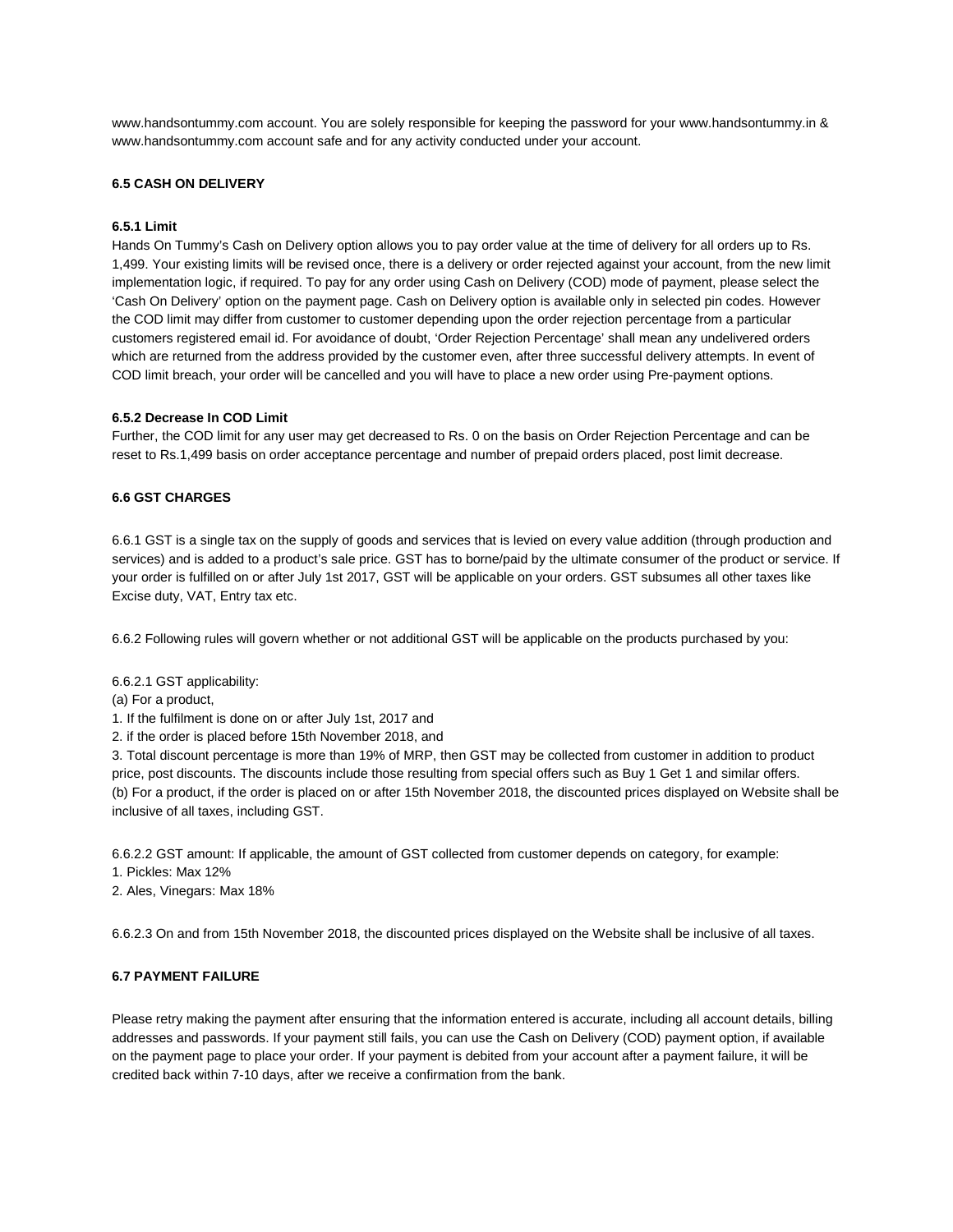www.handsontummy.com account. You are solely responsible for keeping the password for your www.handsontummy.in & www.handsontummy.com account safe and for any activity conducted under your account.

# **6.5 CASH ON DELIVERY**

## **6.5.1 Limit**

Hands On Tummy's Cash on Delivery option allows you to pay order value at the time of delivery for all orders up to Rs. 1,499. Your existing limits will be revised once, there is a delivery or order rejected against your account, from the new limit implementation logic, if required. To pay for any order using Cash on Delivery (COD) mode of payment, please select the 'Cash On Delivery' option on the payment page. Cash on Delivery option is available only in selected pin codes. However the COD limit may differ from customer to customer depending upon the order rejection percentage from a particular customers registered email id. For avoidance of doubt, 'Order Rejection Percentage' shall mean any undelivered orders which are returned from the address provided by the customer even, after three successful delivery attempts. In event of COD limit breach, your order will be cancelled and you will have to place a new order using Pre-payment options.

## **6.5.2 Decrease In COD Limit**

Further, the COD limit for any user may get decreased to Rs. 0 on the basis on Order Rejection Percentage and can be reset to Rs.1,499 basis on order acceptance percentage and number of prepaid orders placed, post limit decrease.

## **6.6 GST CHARGES**

6.6.1 GST is a single tax on the supply of goods and services that is levied on every value addition (through production and services) and is added to a product's sale price. GST has to borne/paid by the ultimate consumer of the product or service. If your order is fulfilled on or after July 1st 2017, GST will be applicable on your orders. GST subsumes all other taxes like Excise duty, VAT, Entry tax etc.

6.6.2 Following rules will govern whether or not additional GST will be applicable on the products purchased by you:

6.6.2.1 GST applicability:

(a) For a product,

1. If the fulfilment is done on or after July 1st, 2017 and

2. if the order is placed before 15th November 2018, and

3. Total discount percentage is more than 19% of MRP, then GST may be collected from customer in addition to product price, post discounts. The discounts include those resulting from special offers such as Buy 1 Get 1 and similar offers. (b) For a product, if the order is placed on or after 15th November 2018, the discounted prices displayed on Website shall be inclusive of all taxes, including GST.

6.6.2.2 GST amount: If applicable, the amount of GST collected from customer depends on category, for example:

1. Pickles: Max 12%

2. Ales, Vinegars: Max 18%

6.6.2.3 On and from 15th November 2018, the discounted prices displayed on the Website shall be inclusive of all taxes.

# **6.7 PAYMENT FAILURE**

Please retry making the payment after ensuring that the information entered is accurate, including all account details, billing addresses and passwords. If your payment still fails, you can use the Cash on Delivery (COD) payment option, if available on the payment page to place your order. If your payment is debited from your account after a payment failure, it will be credited back within 7-10 days, after we receive a confirmation from the bank.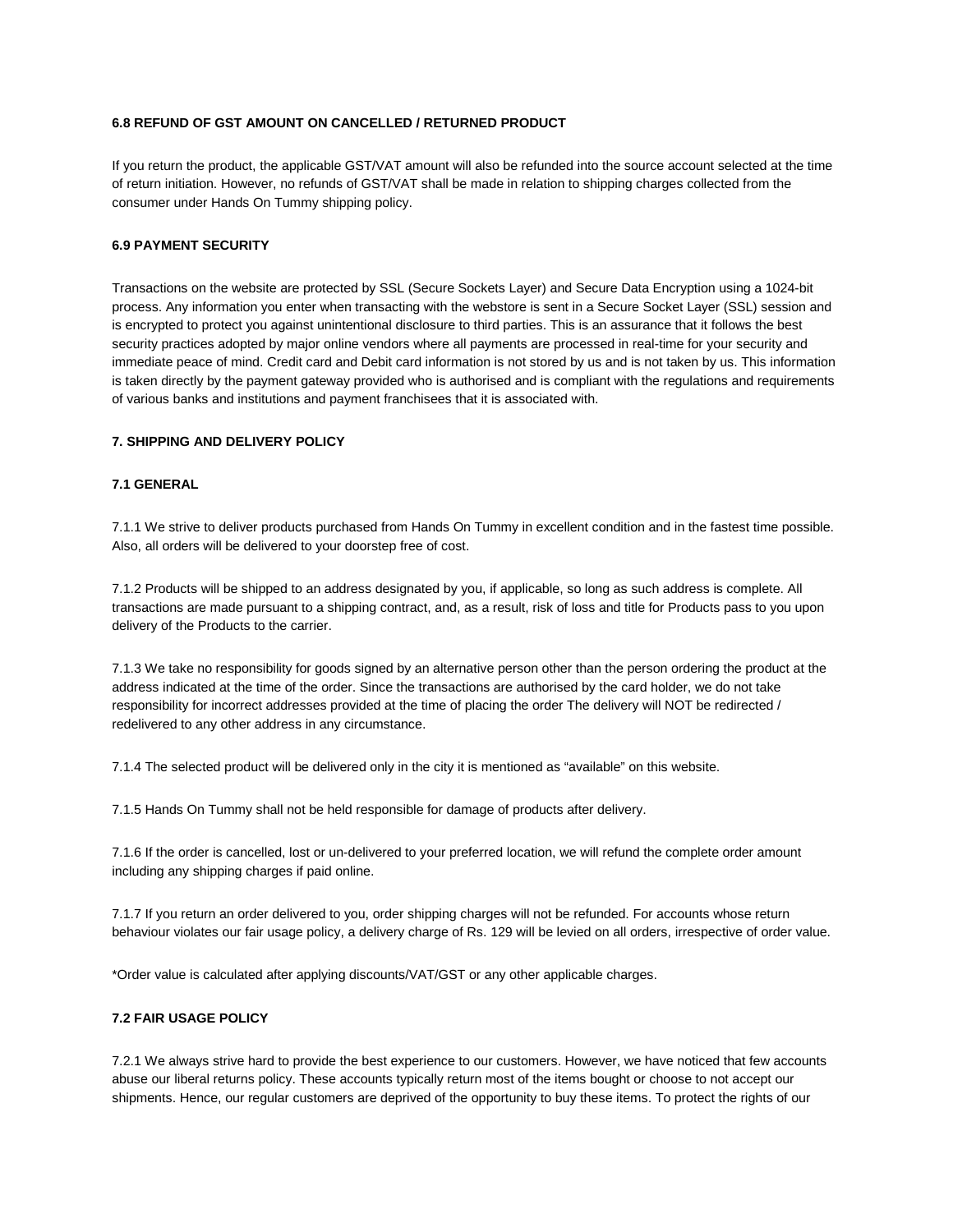# **6.8 REFUND OF GST AMOUNT ON CANCELLED / RETURNED PRODUCT**

If you return the product, the applicable GST/VAT amount will also be refunded into the source account selected at the time of return initiation. However, no refunds of GST/VAT shall be made in relation to shipping charges collected from the consumer under Hands On Tummy shipping policy.

## **6.9 PAYMENT SECURITY**

Transactions on the website are protected by SSL (Secure Sockets Layer) and Secure Data Encryption using a 1024-bit process. Any information you enter when transacting with the webstore is sent in a Secure Socket Layer (SSL) session and is encrypted to protect you against unintentional disclosure to third parties. This is an assurance that it follows the best security practices adopted by major online vendors where all payments are processed in real-time for your security and immediate peace of mind. Credit card and Debit card information is not stored by us and is not taken by us. This information is taken directly by the payment gateway provided who is authorised and is compliant with the regulations and requirements of various banks and institutions and payment franchisees that it is associated with.

# **7. SHIPPING AND DELIVERY POLICY**

## **7.1 GENERAL**

7.1.1 We strive to deliver products purchased from Hands On Tummy in excellent condition and in the fastest time possible. Also, all orders will be delivered to your doorstep free of cost.

7.1.2 Products will be shipped to an address designated by you, if applicable, so long as such address is complete. All transactions are made pursuant to a shipping contract, and, as a result, risk of loss and title for Products pass to you upon delivery of the Products to the carrier.

7.1.3 We take no responsibility for goods signed by an alternative person other than the person ordering the product at the address indicated at the time of the order. Since the transactions are authorised by the card holder, we do not take responsibility for incorrect addresses provided at the time of placing the order The delivery will NOT be redirected / redelivered to any other address in any circumstance.

7.1.4 The selected product will be delivered only in the city it is mentioned as "available" on this website.

7.1.5 Hands On Tummy shall not be held responsible for damage of products after delivery.

7.1.6 If the order is cancelled, lost or un-delivered to your preferred location, we will refund the complete order amount including any shipping charges if paid online.

7.1.7 If you return an order delivered to you, order shipping charges will not be refunded. For accounts whose return behaviour violates our fair usage policy, a delivery charge of Rs. 129 will be levied on all orders, irrespective of order value.

\*Order value is calculated after applying discounts/VAT/GST or any other applicable charges.

# **7.2 FAIR USAGE POLICY**

7.2.1 We always strive hard to provide the best experience to our customers. However, we have noticed that few accounts abuse our liberal returns policy. These accounts typically return most of the items bought or choose to not accept our shipments. Hence, our regular customers are deprived of the opportunity to buy these items. To protect the rights of our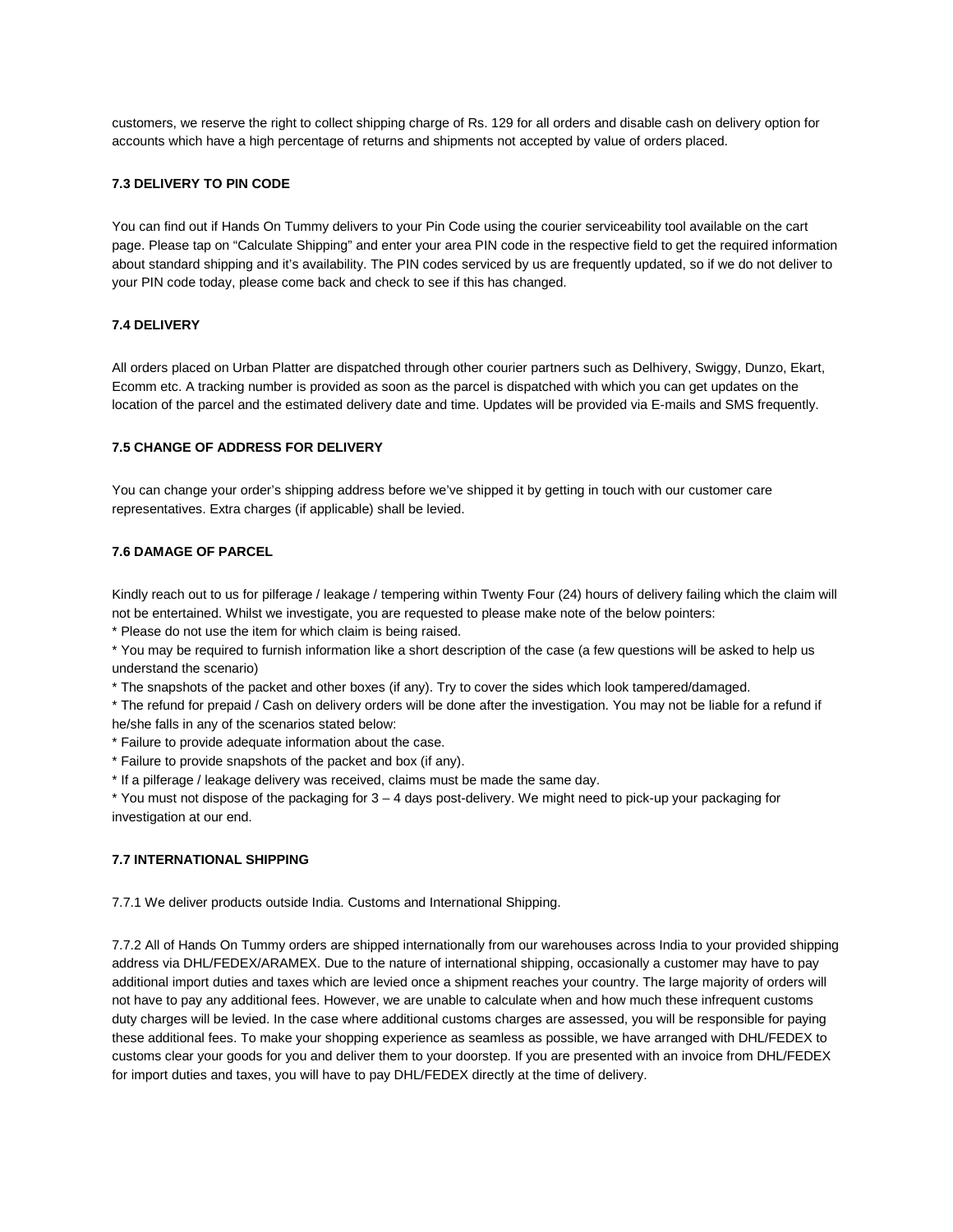customers, we reserve the right to collect shipping charge of Rs. 129 for all orders and disable cash on delivery option for accounts which have a high percentage of returns and shipments not accepted by value of orders placed.

## **7.3 DELIVERY TO PIN CODE**

You can find out if Hands On Tummy delivers to your Pin Code using the courier serviceability tool available on the cart page. Please tap on "Calculate Shipping" and enter your area PIN code in the respective field to get the required information about standard shipping and it's availability. The PIN codes serviced by us are frequently updated, so if we do not deliver to your PIN code today, please come back and check to see if this has changed.

## **7.4 DELIVERY**

All orders placed on Urban Platter are dispatched through other courier partners such as Delhivery, Swiggy, Dunzo, Ekart, Ecomm etc. A tracking number is provided as soon as the parcel is dispatched with which you can get updates on the location of the parcel and the estimated delivery date and time. Updates will be provided via E-mails and SMS frequently.

#### **7.5 CHANGE OF ADDRESS FOR DELIVERY**

You can change your order's shipping address before we've shipped it by getting in touch with our customer care representatives. Extra charges (if applicable) shall be levied.

# **7.6 DAMAGE OF PARCEL**

Kindly reach out to us for pilferage / leakage / tempering within Twenty Four (24) hours of delivery failing which the claim will not be entertained. Whilst we investigate, you are requested to please make note of the below pointers:

\* Please do not use the item for which claim is being raised.

\* You may be required to furnish information like a short description of the case (a few questions will be asked to help us understand the scenario)

\* The snapshots of the packet and other boxes (if any). Try to cover the sides which look tampered/damaged.

\* The refund for prepaid / Cash on delivery orders will be done after the investigation. You may not be liable for a refund if he/she falls in any of the scenarios stated below:

\* Failure to provide adequate information about the case.

\* Failure to provide snapshots of the packet and box (if any).

\* If a pilferage / leakage delivery was received, claims must be made the same day.

\* You must not dispose of the packaging for 3 – 4 days post-delivery. We might need to pick-up your packaging for investigation at our end.

## **7.7 INTERNATIONAL SHIPPING**

7.7.1 We deliver products outside India. Customs and International Shipping.

7.7.2 All of Hands On Tummy orders are shipped internationally from our warehouses across India to your provided shipping address via DHL/FEDEX/ARAMEX. Due to the nature of international shipping, occasionally a customer may have to pay additional import duties and taxes which are levied once a shipment reaches your country. The large majority of orders will not have to pay any additional fees. However, we are unable to calculate when and how much these infrequent customs duty charges will be levied. In the case where additional customs charges are assessed, you will be responsible for paying these additional fees. To make your shopping experience as seamless as possible, we have arranged with DHL/FEDEX to customs clear your goods for you and deliver them to your doorstep. If you are presented with an invoice from DHL/FEDEX for import duties and taxes, you will have to pay DHL/FEDEX directly at the time of delivery.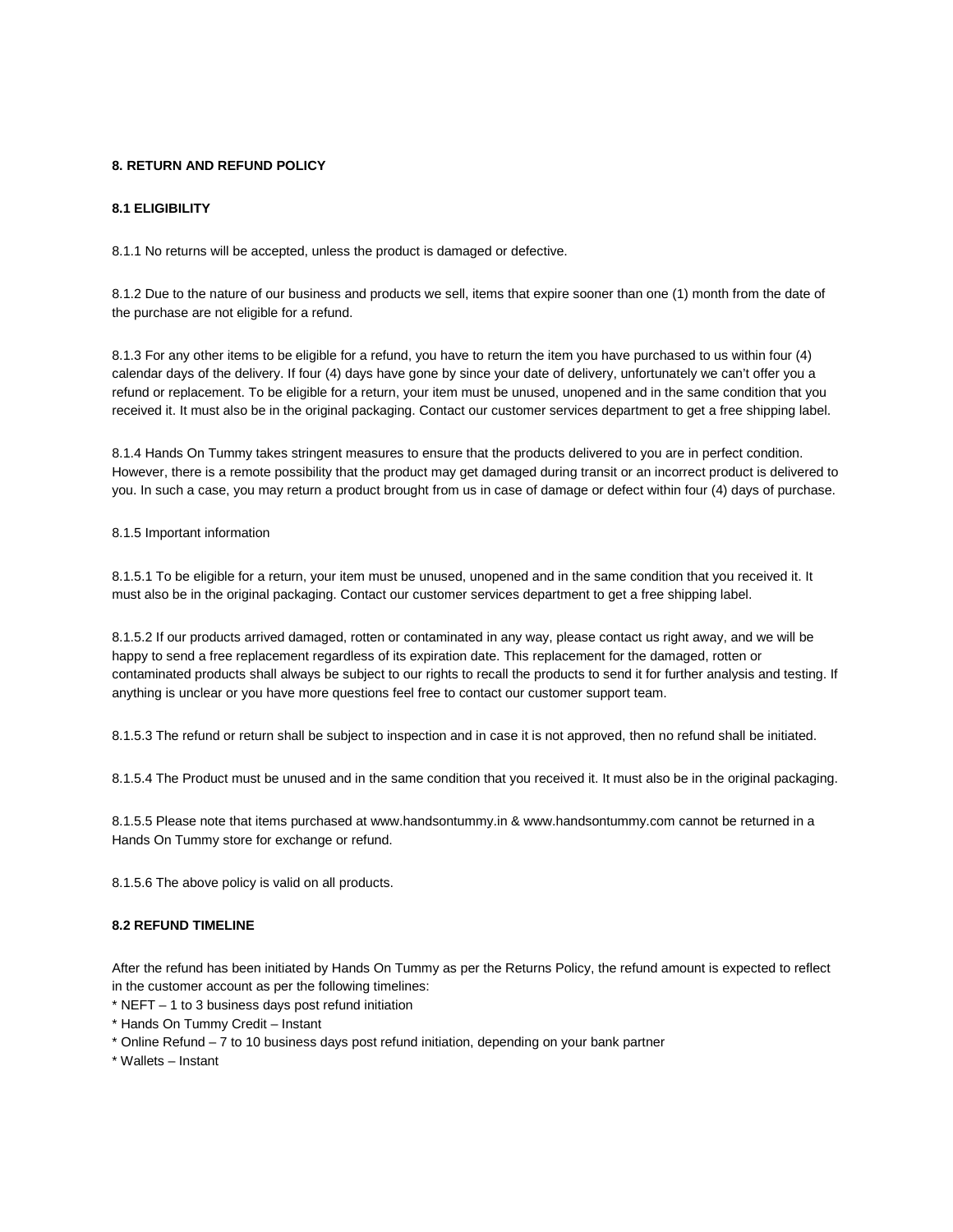# **8. RETURN AND REFUND POLICY**

# **8.1 ELIGIBILITY**

8.1.1 No returns will be accepted, unless the product is damaged or defective.

8.1.2 Due to the nature of our business and products we sell, items that expire sooner than one (1) month from the date of the purchase are not eligible for a refund.

8.1.3 For any other items to be eligible for a refund, you have to return the item you have purchased to us within four (4) calendar days of the delivery. If four (4) days have gone by since your date of delivery, unfortunately we can't offer you a refund or replacement. To be eligible for a return, your item must be unused, unopened and in the same condition that you received it. It must also be in the original packaging. Contact our customer services department to get a free shipping label.

8.1.4 Hands On Tummy takes stringent measures to ensure that the products delivered to you are in perfect condition. However, there is a remote possibility that the product may get damaged during transit or an incorrect product is delivered to you. In such a case, you may return a product brought from us in case of damage or defect within four (4) days of purchase.

8.1.5 Important information

8.1.5.1 To be eligible for a return, your item must be unused, unopened and in the same condition that you received it. It must also be in the original packaging. Contact our customer services department to get a free shipping label.

8.1.5.2 If our products arrived damaged, rotten or contaminated in any way, please contact us right away, and we will be happy to send a free replacement regardless of its expiration date. This replacement for the damaged, rotten or contaminated products shall always be subject to our rights to recall the products to send it for further analysis and testing. If anything is unclear or you have more questions feel free to contact our customer support team.

8.1.5.3 The refund or return shall be subject to inspection and in case it is not approved, then no refund shall be initiated.

8.1.5.4 The Product must be unused and in the same condition that you received it. It must also be in the original packaging.

8.1.5.5 Please note that items purchased at www.handsontummy.in & www.handsontummy.com cannot be returned in a Hands On Tummy store for exchange or refund.

8.1.5.6 The above policy is valid on all products.

# **8.2 REFUND TIMELINE**

After the refund has been initiated by Hands On Tummy as per the Returns Policy, the refund amount is expected to reflect in the customer account as per the following timelines:

 $*$  NEFT – 1 to 3 business days post refund initiation

- \* Hands On Tummy Credit Instant
- \* Online Refund 7 to 10 business days post refund initiation, depending on your bank partner

\* Wallets – Instant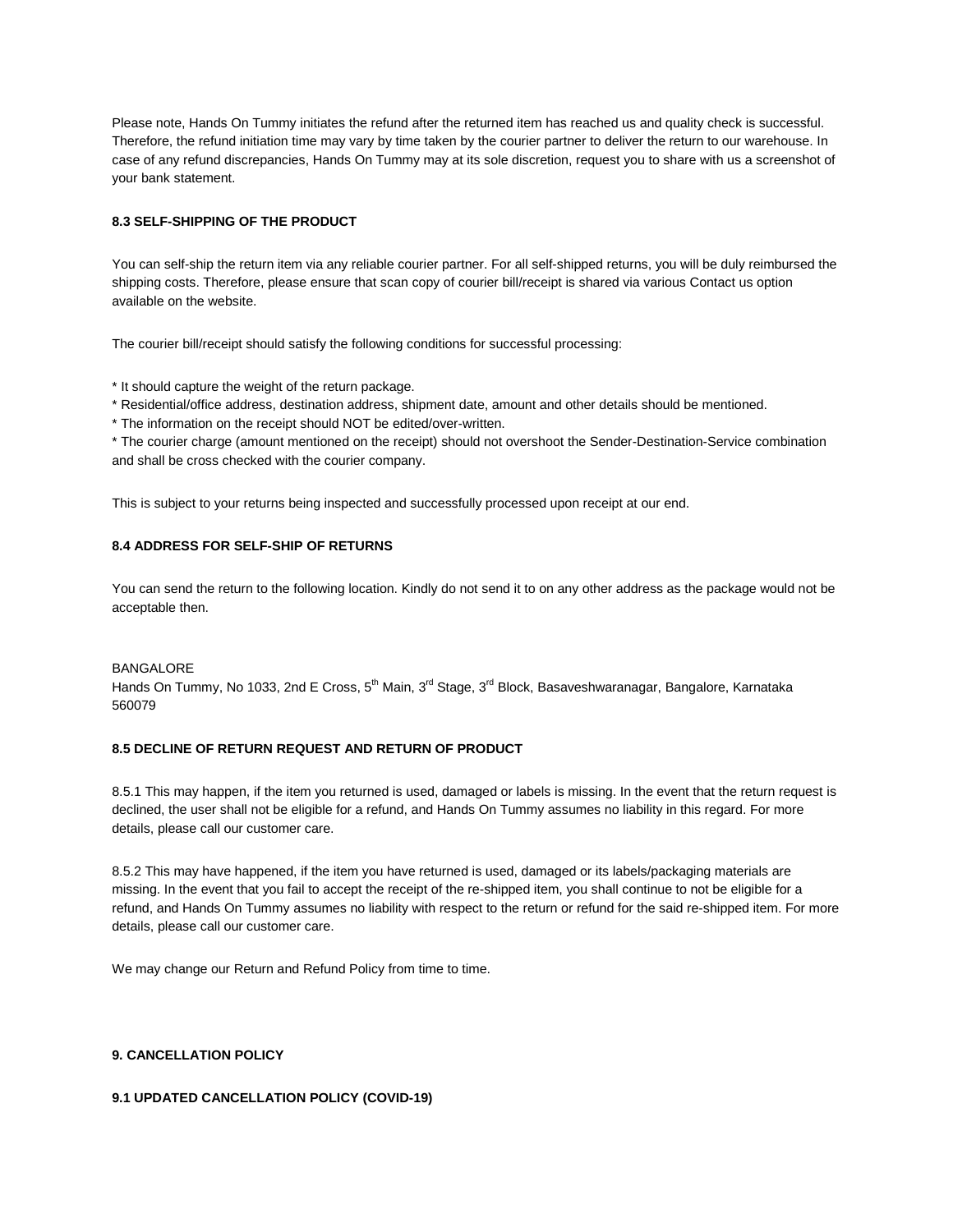Please note, Hands On Tummy initiates the refund after the returned item has reached us and quality check is successful. Therefore, the refund initiation time may vary by time taken by the courier partner to deliver the return to our warehouse. In case of any refund discrepancies, Hands On Tummy may at its sole discretion, request you to share with us a screenshot of your bank statement.

# **8.3 SELF-SHIPPING OF THE PRODUCT**

You can self-ship the return item via any reliable courier partner. For all self-shipped returns, you will be duly reimbursed the shipping costs. Therefore, please ensure that scan copy of courier bill/receipt is shared via various Contact us option available on the website.

The courier bill/receipt should satisfy the following conditions for successful processing:

\* It should capture the weight of the return package.

\* Residential/office address, destination address, shipment date, amount and other details should be mentioned.

\* The information on the receipt should NOT be edited/over-written.

\* The courier charge (amount mentioned on the receipt) should not overshoot the Sender-Destination-Service combination and shall be cross checked with the courier company.

This is subject to your returns being inspected and successfully processed upon receipt at our end.

# **8.4 ADDRESS FOR SELF-SHIP OF RETURNS**

You can send the return to the following location. Kindly do not send it to on any other address as the package would not be acceptable then.

#### BANGALORE

Hands On Tummy, No 1033, 2nd E Cross, 5<sup>th</sup> Main, 3<sup>rd</sup> Stage, 3<sup>rd</sup> Block, Basaveshwaranagar, Bangalore, Karnataka 560079

# **8.5 DECLINE OF RETURN REQUEST AND RETURN OF PRODUCT**

8.5.1 This may happen, if the item you returned is used, damaged or labels is missing. In the event that the return request is declined, the user shall not be eligible for a refund, and Hands On Tummy assumes no liability in this regard. For more details, please call our customer care.

8.5.2 This may have happened, if the item you have returned is used, damaged or its labels/packaging materials are missing. In the event that you fail to accept the receipt of the re-shipped item, you shall continue to not be eligible for a refund, and Hands On Tummy assumes no liability with respect to the return or refund for the said re-shipped item. For more details, please call our customer care.

We may change our Return and Refund Policy from time to time.

# **9. CANCELLATION POLICY**

## **9.1 UPDATED CANCELLATION POLICY (COVID-19)**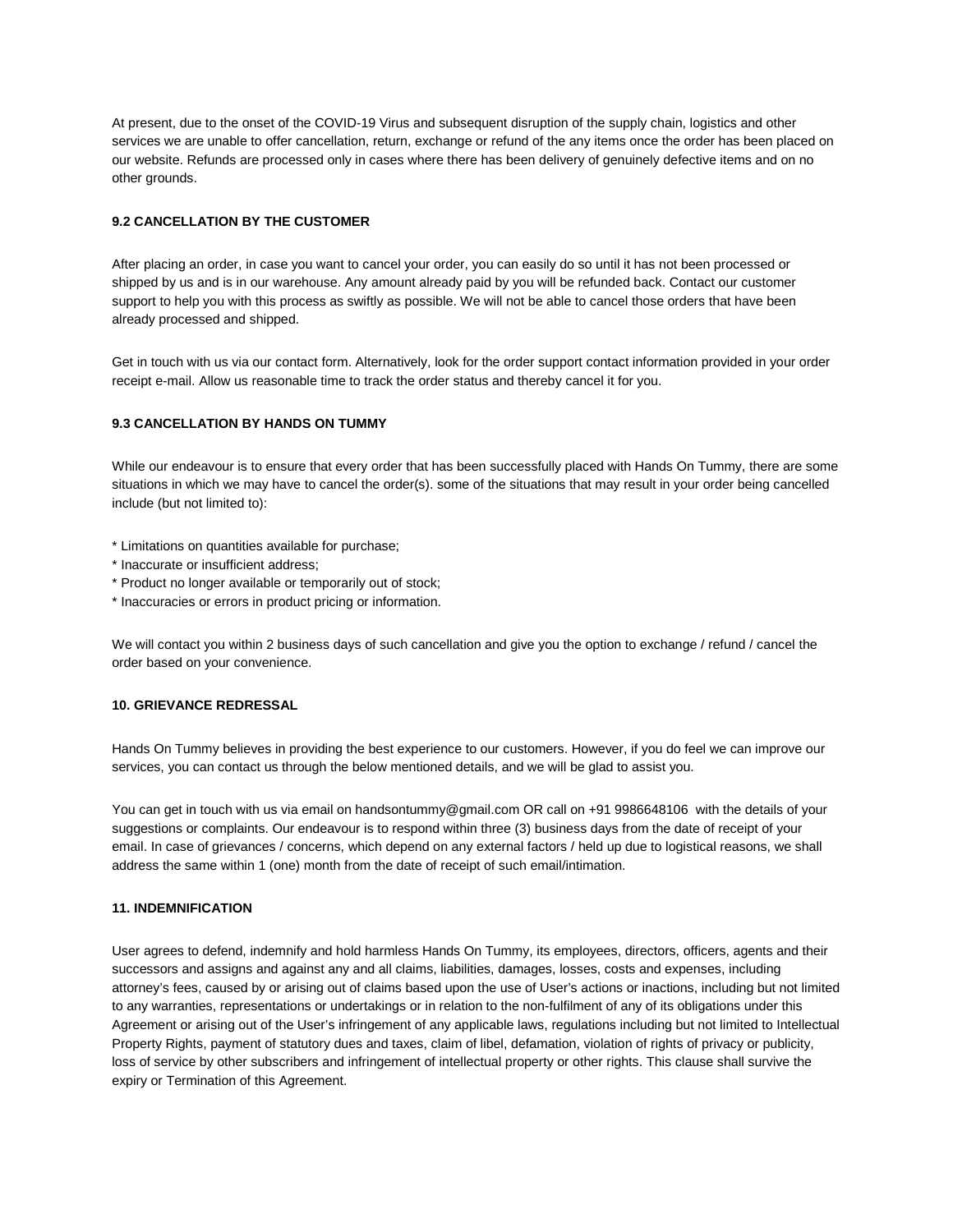At present, due to the onset of the COVID-19 Virus and subsequent disruption of the supply chain, logistics and other services we are unable to offer cancellation, return, exchange or refund of the any items once the order has been placed on our website. Refunds are processed only in cases where there has been delivery of genuinely defective items and on no other grounds.

# **9.2 CANCELLATION BY THE CUSTOMER**

After placing an order, in case you want to cancel your order, you can easily do so until it has not been processed or shipped by us and is in our warehouse. Any amount already paid by you will be refunded back. Contact our customer support to help you with this process as swiftly as possible. We will not be able to cancel those orders that have been already processed and shipped.

Get in touch with us via our contact form. Alternatively, look for the order support contact information provided in your order receipt e-mail. Allow us reasonable time to track the order status and thereby cancel it for you.

## **9.3 CANCELLATION BY HANDS ON TUMMY**

While our endeavour is to ensure that every order that has been successfully placed with Hands On Tummy, there are some situations in which we may have to cancel the order(s). some of the situations that may result in your order being cancelled include (but not limited to):

- \* Limitations on quantities available for purchase;
- \* Inaccurate or insufficient address;
- \* Product no longer available or temporarily out of stock;
- \* Inaccuracies or errors in product pricing or information.

We will contact you within 2 business days of such cancellation and give you the option to exchange / refund / cancel the order based on your convenience.

## **10. GRIEVANCE REDRESSAL**

Hands On Tummy believes in providing the best experience to our customers. However, if you do feel we can improve our services, you can contact us through the below mentioned details, and we will be glad to assist you.

You can get in touch with us via email on handsontummy@gmail.com OR call on +91 9986648106 with the details of your suggestions or complaints. Our endeavour is to respond within three (3) business days from the date of receipt of your email. In case of grievances / concerns, which depend on any external factors / held up due to logistical reasons, we shall address the same within 1 (one) month from the date of receipt of such email/intimation.

## **11. INDEMNIFICATION**

User agrees to defend, indemnify and hold harmless Hands On Tummy, its employees, directors, officers, agents and their successors and assigns and against any and all claims, liabilities, damages, losses, costs and expenses, including attorney's fees, caused by or arising out of claims based upon the use of User's actions or inactions, including but not limited to any warranties, representations or undertakings or in relation to the non-fulfilment of any of its obligations under this Agreement or arising out of the User's infringement of any applicable laws, regulations including but not limited to Intellectual Property Rights, payment of statutory dues and taxes, claim of libel, defamation, violation of rights of privacy or publicity, loss of service by other subscribers and infringement of intellectual property or other rights. This clause shall survive the expiry or Termination of this Agreement.